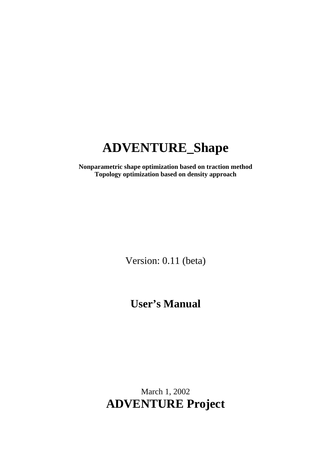# **ADVENTURE\_Shape**

**Nonparametric shape optimization based on traction method Topology optimization based on density approach** 

Version: 0.11 (beta)

**User's Manual** 

March 1, 2002 **ADVENTURE Project**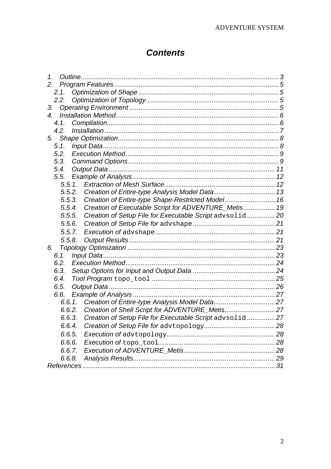# **Contents**

| 1 <sub>1</sub>                                                    |
|-------------------------------------------------------------------|
| 2.                                                                |
| 2.1.                                                              |
| 2.2.                                                              |
| 3.                                                                |
| $\overline{4}$                                                    |
| 4.1.                                                              |
| 4.2.                                                              |
|                                                                   |
| 5.1.                                                              |
| 5.2.                                                              |
| 5.3.                                                              |
| 5.4.                                                              |
| 5.5.                                                              |
|                                                                   |
| 5.5.2. Creation of Entire-type Analysis Model Data 13             |
| Creation of Entire-type Shape-Restricted Model 16<br>5.5.3.       |
| Creation of Executable Script for ADVENTURE_Metis 19<br>5.5.4.    |
| Creation of Setup File for Executable Script advsolid20<br>5.5.5. |
| 5.5.6.                                                            |
| 5.5.7.                                                            |
| 5.5.8.                                                            |
| 6.                                                                |
| 6.1.                                                              |
| 6.2.                                                              |
| 6.3.                                                              |
| 6.4.                                                              |
| 6.5.                                                              |
| 6.6.                                                              |
|                                                                   |
| 6.6.2.                                                            |
| Creation of Setup File for Executable Script advsolid27<br>6.6.3. |
| 6.6.4.                                                            |
| 6.6.5.                                                            |
| 6.6.6.                                                            |
| 6.6.7.                                                            |
| 6.6.8.                                                            |
|                                                                   |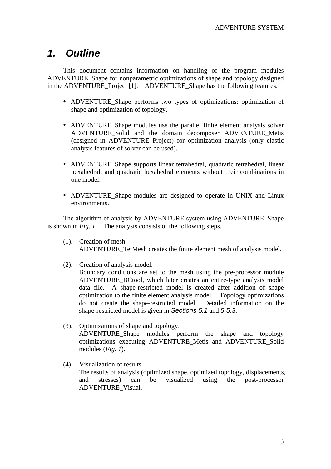# <span id="page-2-0"></span>*1. Outline*

This document contains information on handling of the program modules ADVENTURE\_Shape for nonparametric optimizations of shape and topology designed in the ADVENTURE Project [1]. ADVENTURE Shape has the following features.

- ADVENTURE\_Shape performs two types of optimizations: optimization of shape and optimization of topology.
- ADVENTURE\_Shape modules use the parallel finite element analysis solver ADVENTURE\_Solid and the domain decomposer ADVENTURE\_Metis (designed in ADVENTURE Project) for optimization analysis (only elastic analysis features of solver can be used).
- ADVENTURE\_Shape supports linear tetrahedral, quadratic tetrahedral, linear hexahedral, and quadratic hexahedral elements without their combinations in one model.
- ADVENTURE\_Shape modules are designed to operate in UNIX and Linux environments.

The algorithm of analysis by ADVENTURE system using ADVENTURE\_Shape is shown in *Fig. 1*. The analysis consists of the following steps.

- (1). Creation of mesh. ADVENTURE\_TetMesh creates the finite element mesh of analysis model.
- (2). Creation of analysis model.

Boundary conditions are set to the mesh using the pre-processor module ADVENTURE\_BCtool, which later creates an entire-type analysis model data file. A shape-restricted model is created after addition of shape optimization to the finite element analysis model. Topology optimizations do not create the shape-restricted model. Detailed information on the shape-restricted model is given in *Sections 5.1* and *5.5.3*.

- (3). Optimizations of shape and topology. ADVENTURE\_Shape modules perform the shape and topology optimizations executing ADVENTURE\_Metis and ADVENTURE\_Solid modules (*Fig. 1*).
- (4). Visualization of results. The results of analysis (optimized shape, optimized topology, displacements, and stresses) can be visualized using the post-processor ADVENTURE\_Visual.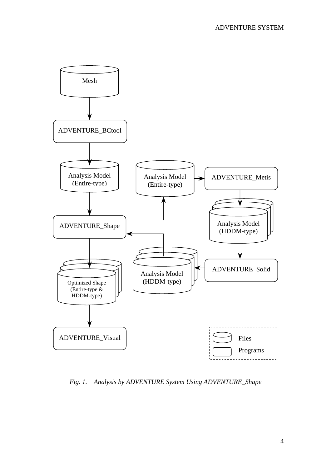

*Fig. 1. Analysis by ADVENTURE System Using ADVENTURE\_Shape*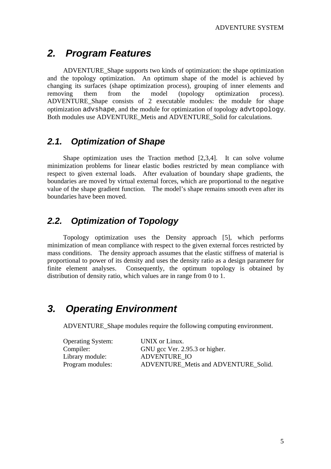# <span id="page-4-0"></span>*2. Program Features*

ADVENTURE\_Shape supports two kinds of optimization: the shape optimization and the topology optimization. An optimum shape of the model is achieved by changing its surfaces (shape optimization process), grouping of inner elements and removing them from the model (topology optimization process). ADVENTURE\_Shape consists of 2 executable modules: the module for shape optimization advshape, and the module for optimization of topology advtopology. Both modules use ADVENTURE\_Metis and ADVENTURE\_Solid for calculations.

## *2.1. Optimization of Shape*

Shape optimization uses the Traction method [2,3,4]. It can solve volume minimization problems for linear elastic bodies restricted by mean compliance with respect to given external loads. After evaluation of boundary shape gradients, the boundaries are moved by virtual external forces, which are proportional to the negative value of the shape gradient function. The model's shape remains smooth even after its boundaries have been moved.

# *2.2. Optimization of Topology*

Topology optimization uses the Density approach [5], which performs minimization of mean compliance with respect to the given external forces restricted by mass conditions. The density approach assumes that the elastic stiffness of material is proportional to power of its density and uses the density ratio as a design parameter for finite element analyses. Consequently, the optimum topology is obtained by distribution of density ratio, which values are in range from 0 to 1.

# *3. Operating Environment*

ADVENTURE\_Shape modules require the following computing environment.

| <b>Operating System:</b> | UNIX or Linux.                       |
|--------------------------|--------------------------------------|
| Compiler:                | GNU gcc Ver. 2.95.3 or higher.       |
| Library module:          | ADVENTURE IO                         |
| Program modules:         | ADVENTURE Metis and ADVENTURE Solid. |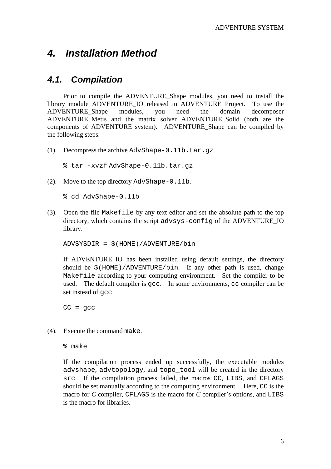# <span id="page-5-0"></span>*4. Installation Method*

### *4.1. Compilation*

Prior to compile the ADVENTURE\_Shape modules, you need to install the library module ADVENTURE\_IO released in ADVENTURE Project. To use the ADVENTURE\_Shape modules, you need the domain decomposer ADVENTURE\_Metis and the matrix solver ADVENTURE\_Solid (both are the components of ADVENTURE system). ADVENTURE\_Shape can be compiled by the following steps.

(1). Decompress the archive AdvShape-0.11b.tar.gz.

```
% tar -xvzf AdvShape-0.11b.tar.gz
```
(2). Move to the top directory AdvShape-0.11b.

% cd AdvShape-0.11b

(3). Open the file Makefile by any text editor and set the absolute path to the top directory, which contains the script advsys-config of the ADVENTURE\_IO library.

ADVSYSDIR = \$(HOME)/ADVENTURE/bin

If ADVENTURE IO has been installed using default settings, the directory should be \$(HOME)/ADVENTURE/bin. If any other path is used, change Makefile according to your computing environment. Set the compiler to be used. The default compiler is gcc. In some environments, cc compiler can be set instead of gcc.

 $CC = qcc$ 

(4). Execute the command make.

% make

If the compilation process ended up successfully, the executable modules advshape, advtopology, and topo\_tool will be created in the directory src. If the compilation process failed, the macros CC, LIBS, and CFLAGS should be set manually according to the computing environment. Here, CC is the macro for *C* compiler, CFLAGS is the macro for *C* compiler's options, and LIBS is the macro for libraries.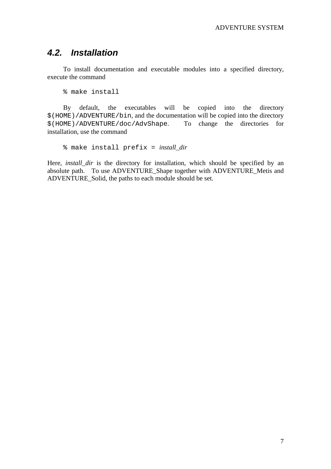### <span id="page-6-0"></span>*4.2. Installation*

To install documentation and executable modules into a specified directory, execute the command

% make install

By default, the executables will be copied into the directory \$(HOME)/ADVENTURE/bin, and the documentation will be copied into the directory \$(HOME)/ADVENTURE/doc/AdvShape. To change the directories for installation, use the command

% make install prefix = *install\_dir*

Here, *install\_dir* is the directory for installation, which should be specified by an absolute path. To use ADVENTURE\_Shape together with ADVENTURE\_Metis and ADVENTURE\_Solid, the paths to each module should be set.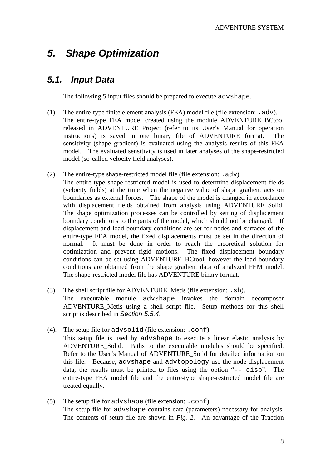# <span id="page-7-0"></span>*5. Shape Optimization*

### *5.1. Input Data*

The following 5 input files should be prepared to execute advshape.

- (1). The entire-type finite element analysis (FEA) model file (file extension: .adv). The entire-type FEA model created using the module ADVENTURE\_BCtool released in ADVENTURE Project (refer to its User's Manual for operation instructions) is saved in one binary file of ADVENTURE format. The sensitivity (shape gradient) is evaluated using the analysis results of this FEA model. The evaluated sensitivity is used in later analyses of the shape-restricted model (so-called velocity field analyses).
- (2). The entire-type shape-restricted model file (file extension: .adv). The entire-type shape-restricted model is used to determine displacement fields (velocity fields) at the time when the negative value of shape gradient acts on boundaries as external forces. The shape of the model is changed in accordance with displacement fields obtained from analysis using ADVENTURE\_Solid. The shape optimization processes can be controlled by setting of displacement boundary conditions to the parts of the model, which should not be changed. If displacement and load boundary conditions are set for nodes and surfaces of the entire-type FEA model, the fixed displacements must be set in the direction of normal. It must be done in order to reach the theoretical solution for optimization and prevent rigid motions. The fixed displacement boundary conditions can be set using ADVENTURE\_BCtool, however the load boundary conditions are obtained from the shape gradient data of analyzed FEM model. The shape-restricted model file has ADVENTURE binary format.
- (3). The shell script file for ADVENTURE\_Metis (file extension: .sh). The executable module advshape invokes the domain decomposer ADVENTURE\_Metis using a shell script file. Setup methods for this shell script is described in *Section 5.5.4*.
- (4). The setup file for advsolid (file extension: .conf). This setup file is used by advshape to execute a linear elastic analysis by ADVENTURE\_Solid. Paths to the executable modules should be specified. Refer to the User's Manual of ADVENTURE\_Solid for detailed information on this file. Because, advshape and advtopology use the node displacement data, the results must be printed to files using the option "-- disp". The entire-type FEA model file and the entire-type shape-restricted model file are treated equally.
- (5). The setup file for advshape (file extension: .conf). The setup file for advshape contains data (parameters) necessary for analysis. The contents of setup file are shown in *Fig. 2*. An advantage of the Traction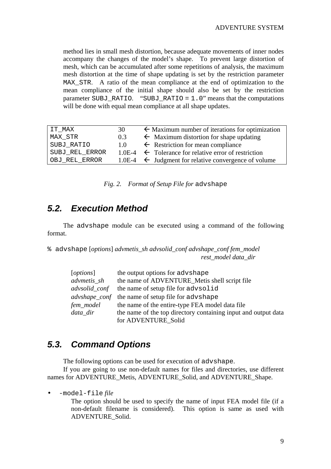<span id="page-8-0"></span>method lies in small mesh distortion, because adequate movements of inner nodes accompany the changes of the model's shape. To prevent large distortion of mesh, which can be accumulated after some repetitions of analysis, the maximum mesh distortion at the time of shape updating is set by the restriction parameter MAX STR. A ratio of the mean compliance at the end of optimization to the mean compliance of the initial shape should also be set by the restriction parameter SUBJ\_RATIO. "SUBJ\_RATIO =  $1.0$ " means that the computations will be done with equal mean compliance at all shape updates.

| IT MAX         | 30  | $\leftarrow$ Maximum number of iterations for optimization        |
|----------------|-----|-------------------------------------------------------------------|
| MAX STR        | 0.3 | $\leftarrow$ Maximum distortion for shape updating                |
| SUBJ RATIO     | 1.0 | $\leftarrow$ Restriction for mean compliance                      |
| SUBJ REL ERROR |     | $1.0E-4$ $\leftarrow$ Tolerance for relative error of restriction |
| OBJ REL ERROR  |     | $1.0E-4$ $\leftarrow$ Judgment for relative convergence of volume |

*Fig. 2. Format of Setup File for* advshape

### *5.2. Execution Method*

The advshape module can be executed using a command of the following format.

% advshape [*options*] *advmetis\_sh advsolid\_conf advshape\_conf fem\_model rest\_model data\_dir* 

| [ <i>options</i> ] | the output options for advshape                                |
|--------------------|----------------------------------------------------------------|
| advmetis sh        | the name of ADVENTURE Metis shell script file                  |
| advsolid_conf      | the name of setup file for advsolid                            |
|                    | <i>advshape_conf</i> the name of setup file for advshape       |
| fem_model          | the name of the entire-type FEA model data file                |
| data dir           | the name of the top directory containing input and output data |
|                    | for ADVENTURE Solid                                            |

### *5.3. Command Options*

The following options can be used for execution of advshape.

If you are going to use non-default names for files and directories, use different names for ADVENTURE\_Metis, ADVENTURE\_Solid, and ADVENTURE\_Shape.

• -model-file *file*

The option should be used to specify the name of input FEA model file (if a non-default filename is considered). This option is same as used with ADVENTURE\_Solid.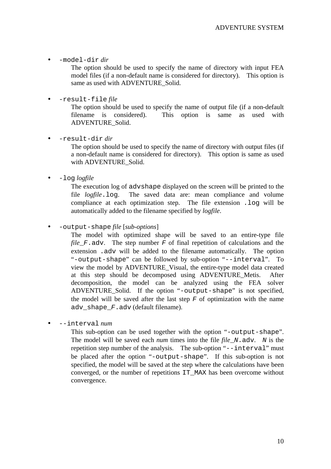• -model-dir *dir*

The option should be used to specify the name of directory with input FEA model files (if a non-default name is considered for directory). This option is same as used with ADVENTURE\_Solid.

• -result-file *file*

> The option should be used to specify the name of output file (if a non-default filename is considered). This option is same as used with ADVENTURE\_Solid.

• -result-dir *dir*

> The option should be used to specify the name of directory with output files (if a non-default name is considered for directory). This option is same as used with ADVENTURE Solid.

• -log *logfile*

> The execution log of advshape displayed on the screen will be printed to the file *logfile*.log. The saved data are: mean compliance and volume compliance at each optimization step. The file extension .log will be automatically added to the filename specified by *logfile*.

• -output-shape *file* [*sub-options*]

> The model with optimized shape will be saved to an entire-type file *file*<sub>F.</sub>adv. The step number F of final repetition of calculations and the extension .adv will be added to the filename automatically. The option "-output-shape" can be followed by sub-option "--interval". To view the model by ADVENTURE\_Visual, the entire-type model data created at this step should be decomposed using ADVENTURE\_Metis. After decomposition, the model can be analyzed using the FEA solver ADVENTURE\_Solid. If the option "-output-shape" is not specified, the model will be saved after the last step  $F$  of optimization with the name adv\_shape\_F.adv (default filename).

• --interval *num*

> This sub-option can be used together with the option "-output-shape". The model will be saved each *num* times into the file *file*\_N.adv. N is the repetition step number of the analysis. The sub-option "--interval" must be placed after the option "-output-shape". If this sub-option is not specified, the model will be saved at the step where the calculations have been converged, or the number of repetitions IT\_MAX has been overcome without convergence.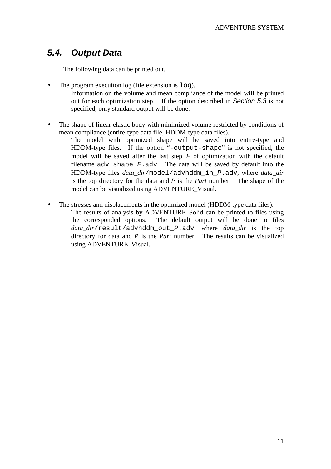# <span id="page-10-0"></span>*5.4. Output Data*

The following data can be printed out.

using ADVENTURE\_Visual.

- The program execution log (file extension is  $log$ ). Information on the volume and mean compliance of the model will be printed out for each optimization step. If the option described in *Section 5.3* is not specified, only standard output will be done.
- The shape of linear elastic body with minimized volume restricted by conditions of mean compliance (entire-type data file, HDDM-type data files).
	- The model with optimized shape will be saved into entire-type and HDDM-type files. If the option "-output-shape" is not specified, the model will be saved after the last step  $F$  of optimization with the default filename  $adv$  shape  $F$  adv. The data will be saved by default into the HDDM-type files *data\_dir*/model/advhddm\_in\_P.adv, where *data\_dir* is the top directory for the data and P is the *Part* number. The shape of the model can be visualized using ADVENTURE\_Visual.
- The stresses and displacements in the optimized model (HDDM-type data files). The results of analysis by ADVENTURE\_Solid can be printed to files using the corresponded options. The default output will be done to files *data\_dir*/result/advhddm\_out\_P.adv, where *data\_dir* is the top directory for data and P is the *Part* number. The results can be visualized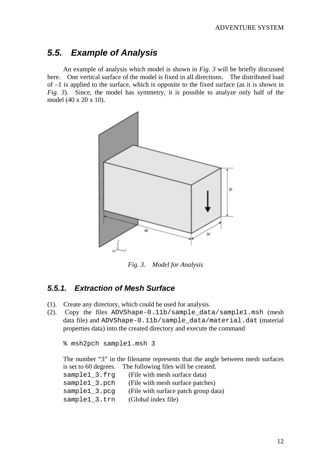### <span id="page-11-0"></span>*5.5. Example of Analysis*

An example of analysis which model is shown in *Fig. 3* will be briefly discussed here. One vertical surface of the model is fixed in all directions. The distributed load of –1 is applied to the surface, which is opposite to the fixed surface (as it is shown in *Fig. 3*). Since, the model has symmetry, it is possible to analyze only half of the model (40 x 20 x 10).



*Fig. 3. Model for Analysis* 

### *5.5.1. Extraction of Mesh Surface*

- (1). Create any directory, which could be used for analysis.
- (2). Copy the files ADVShape-0.11b/sample\_data/sample1.msh (mesh data file) and ADVShape-0.11b/sample\_data/material.dat (material properties data) into the created directory and execute the command

```
% msh2pch sample1.msh 3
```
The number "3" in the filename represents that the angle between mesh surfaces is set to 60 degrees. The following files will be created.

| sample1_3.frg        | (File with mesh surface data)        |
|----------------------|--------------------------------------|
| $sample1_3.pdf$ .pch | (File with mesh surface patches)     |
| $sample1_3.png$      | (File with surface patch group data) |
| sample1_3.trn        | (Global index file)                  |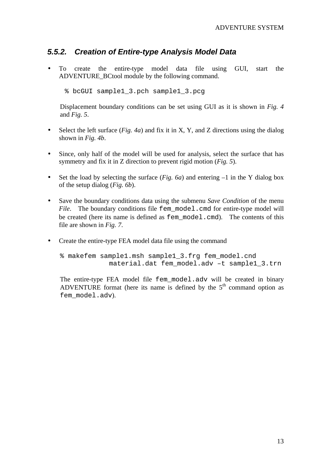### <span id="page-12-0"></span>*5.5.2. Creation of Entire-type Analysis Model Data*

• To create the entire-type model data file using GUI, start the ADVENTURE\_BCtool module by the following command.

Displacement boundary conditions can be set using GUI as it is shown in *Fig. 4* and *Fig. 5*.

- Select the left surface (*Fig. 4a*) and fix it in X, Y, and Z directions using the dialog shown in *Fig. 4b*.
- Since, only half of the model will be used for analysis, select the surface that has symmetry and fix it in Z direction to prevent rigid motion (*Fig. 5*).
- Set the load by selecting the surface (*Fig. 6a*) and entering –1 in the Y dialog box of the setup dialog (*Fig. 6b*).
- Save the boundary conditions data using the submenu *Save Condition* of the menu *File*. The boundary conditions file fem\_model.cmd for entire-type model will be created (here its name is defined as  $f$  em model.cmd). The contents of this file are shown in *Fig. 7*.
- Create the entire-type FEA model data file using the command

```
% makefem sample1.msh sample1_3.frg fem_model.cnd
            material.dat fem_model.adv –t sample1_3.trn
```
The entire-type FEA model file fem\_model.adv will be created in binary ADVENTURE format (here its name is defined by the  $5<sup>th</sup>$  command option as fem\_model.adv).

<sup>%</sup> bcGUI sample1\_3.pch sample1\_3.pcg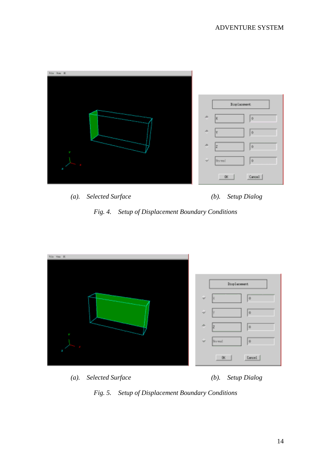

*(a). Selected Surface (b). Setup Dialog Fig. 4. Setup of Displacement Boundary Conditions* 



*(a). Selected Surface (b). Setup Dialog*

*Fig. 5. Setup of Displacement Boundary Conditions*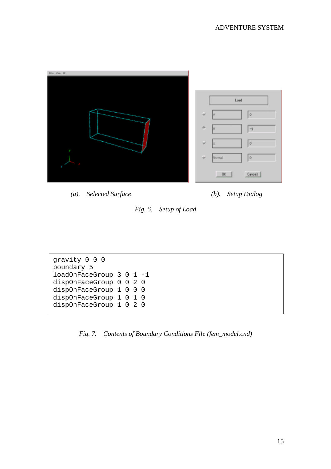

*(a). Selected Surface (b). Setup Dialog*



gravity 0 0 0 boundary 5 loadOnFaceGroup301-1 dispOnFaceGroup 0 0 2 0 dispOnFaceGroup 1 0 0 0 dispOnFaceGroup 1 0 1 0 dispOnFaceGroup 1 0 2 0

*Fig. 7. Contents of Boundary Conditions File (fem\_model.cnd)*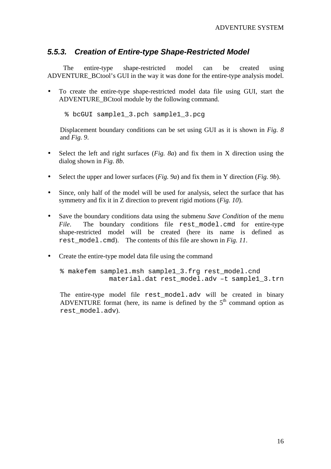#### <span id="page-15-0"></span>*5.5.3. Creation of Entire-type Shape-Restricted Model*

The entire-type shape-restricted model can be created using ADVENTURE\_BCtool's GUI in the way it was done for the entire-type analysis model.

• To create the entire-type shape-restricted model data file using GUI, start the ADVENTURE\_BCtool module by the following command.

% bcGUI sample1\_3.pch sample1\_3.pcg

Displacement boundary conditions can be set using GUI as it is shown in *Fig. 8* and *Fig. 9*.

- Select the left and right surfaces (*Fig. 8a*) and fix them in X direction using the dialog shown in *Fig. 8b*.
- Select the upper and lower surfaces (*Fig. 9a*) and fix them in Y direction (*Fig. 9b*).
- Since, only half of the model will be used for analysis, select the surface that has symmetry and fix it in Z direction to prevent rigid motions (*Fig. 10*).
- Save the boundary conditions data using the submenu *Save Condition* of the menu *File*. The boundary conditions file rest\_model.cmd for entire-type shape-restricted model will be created (here its name is defined as rest\_model.cmd). The contents of this file are shown in *Fig. 11*.
- Create the entire-type model data file using the command
	- % makefem sample1.msh sample1\_3.frg rest\_model.cnd material.dat rest\_model.adv –t sample1\_3.trn

The entire-type model file rest\_model.adv will be created in binary ADVENTURE format (here, its name is defined by the  $5<sup>th</sup>$  command option as rest\_model.adv).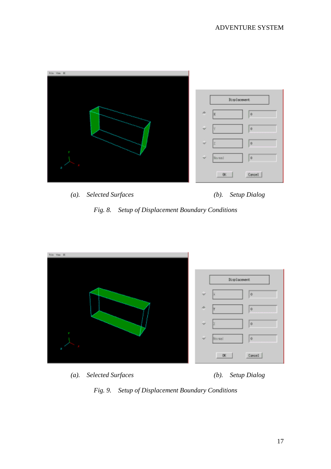

*(a). Selected Surfaces (b). Setup Dialog*

*Fig. 8. Setup of Displacement Boundary Conditions* 



*(a). Selected Surfaces (b). Setup Dialog*

*Fig. 9. Setup of Displacement Boundary Conditions*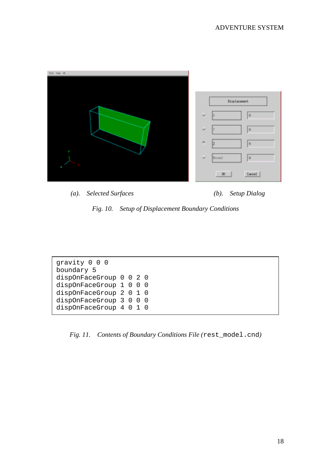

*(a). Selected Surfaces (b). Setup Dialog*



| qravity 0 0 0           |  |  |
|-------------------------|--|--|
| boundary 5              |  |  |
| dispOnFaceGroup 0 0 2 0 |  |  |
| dispOnFaceGroup 1 0 0 0 |  |  |
| dispOnFaceGroup 2 0 1 0 |  |  |
| dispOnFaceGroup 3 0 0 0 |  |  |
| dispOnFaceGroup 4 0 1 0 |  |  |

*Fig. 11. Contents of Boundary Conditions File (*rest\_model.cnd*)*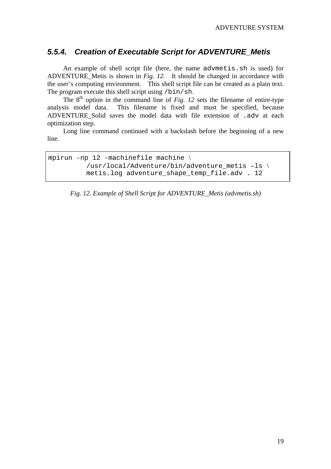#### <span id="page-18-0"></span>*5.5.4. Creation of Executable Script for ADVENTURE\_Metis*

An example of shell script file (here, the name advmetis.sh is used) for ADVENTURE\_Metis is shown in *Fig. 12*. It should be changed in accordance with the user's computing environment. This shell script file can be created as a plain text. The program execute this shell script using /bin/sh.

The  $8<sup>th</sup>$  option in the command line of *Fig. 12* sets the filename of entire-type analysis model data. This filename is fixed and must be specified, because ADVENTURE\_Solid saves the model data with file extension of .adv at each optimization step.

Long line command continued with a backslash before the beginning of a new line.

```
mpirun -np 12 -machinefile machine
\
         /usr/local/Adventure/bin/adventure_metis –ls
\
         metis.log adventure_shape_temp_file.adv . 12
```
*Fig. 12. Example of Shell Script for ADVENTURE\_Metis (advmetis.sh)*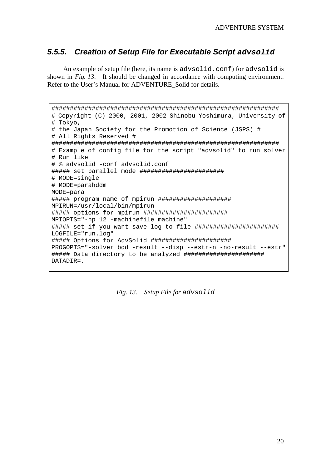#### <span id="page-19-0"></span>*5.5.5. Creation of Setup File for Executable Script* **advsolid**

An example of setup file (here, its name is advsolid.conf) for advsolid is shown in *Fig. 13*. It should be changed in accordance with computing environment. Refer to the User's Manual for ADVENTURE\_Solid for details.

```
##############################################################
# Copyright (C) 2000, 2001, 2002 Shinobu Yoshimura, University of
# Tokyo,
# the Japan Society for the Promotion of Science (JSPS) #
# All Rights Reserved #
##############################################################
# Example of config file for the script "advsolid" to run solver
# Run like
# % advsolid -conf advsolid.conf
##### set parallel mode #######################
# MODE=single
# MODE=parahddm
MODE=para
##### program name of mpirun ####################
MPIRUN=/usr/local/bin/mpirun
##### options for mpirun #######################
MPIOPTS="-np 12 -machinefile machine"
##### set if you want save log to file #######################
LOGFILE="run.log"
##### Options for AdvSolid ######################
PROGOPTS="-solver bdd -result --disp --estr-n -no-result --estr"
##### Data directory to be analyzed ######################
DATADIR=.
```
*Fig. 13. Setup File for* advsolid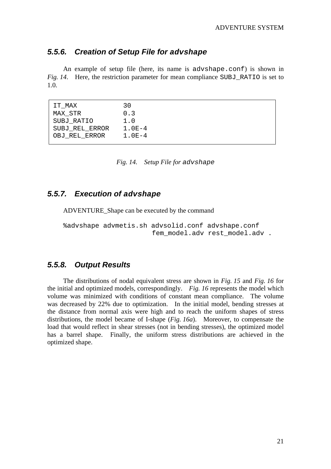#### <span id="page-20-0"></span>*5.5.6. Creation of Setup File for* **advshape**

An example of setup file (here, its name is advshape.conf) is shown in *Fig. 14*. Here, the restriction parameter for mean compliance SUBJ\_RATIO is set to 1.0.

```
IT MAX 30
MAX STR 0.3
SUBJ_RATIO 1.0
SUBJ_REL_ERROR 1.0E-4
OBJ_REL_ERROR 1.0E-4
```
*Fig. 14. Setup File for* advshape

#### *5.5.7. Execution of* **advshape**

ADVENTURE\_Shape can be executed by the command

%advshape advmetis.sh advsolid.conf advshape.conf fem\_model.adv rest\_model.adv .

#### *5.5.8. Output Results*

The distributions of nodal equivalent stress are shown in *Fig. 15* and *Fig. 16* for the initial and optimized models, correspondingly. *Fig. 16* represents the model which volume was minimized with conditions of constant mean compliance. The volume was decreased by 22% due to optimization. In the initial model, bending stresses at the distance from normal axis were high and to reach the uniform shapes of stress distributions, the model became of I-shape (*Fig. 16a*). Moreover, to compensate the load that would reflect in shear stresses (not in bending stresses), the optimized model has a barrel shape. Finally, the uniform stress distributions are achieved in the optimized shape.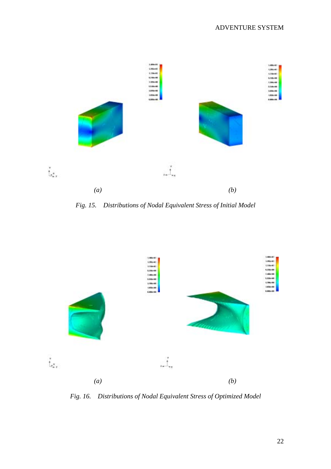

*Fig. 15. Distributions of Nodal Equivalent Stress of Initial Model* 



*Fig. 16. Distributions of Nodal Equivalent Stress of Optimized Model*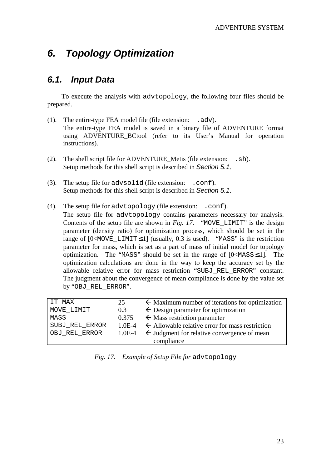# <span id="page-22-0"></span>*6. Topology Optimization*

### *6.1. Input Data*

To execute the analysis with advtopology, the following four files should be prepared.

- (1). The entire-type FEA model file (file extension: .adv). The entire-type FEA model is saved in a binary file of ADVENTURE format using ADVENTURE\_BCtool (refer to its User's Manual for operation instructions).
- (2). The shell script file for ADVENTURE\_Metis (file extension: .sh). Setup methods for this shell script is described in *Section 5.1*.
- (3). The setup file for advsolid (file extension: .conf). Setup methods for this shell script is described in *Section 5.1*.
- (4). The setup file for advtopology (file extension: .conf).
	- The setup file for advtopology contains parameters necessary for analysis. Contents of the setup file are shown in *Fig. 17*. "MOVE LIMIT" is the design parameter (density ratio) for optimization process, which should be set in the range of  $[0<sub>K</sub> MOVE_LIMIT \le 1]$  (usually, 0.3 is used). "MASS" is the restriction parameter for mass, which is set as a part of mass of initial model for topology optimization. The "MASS" should be set in the range of  $[0 \leq MASS \leq 1]$ . The optimization calculations are done in the way to keep the accuracy set by the allowable relative error for mass restriction "SUBJ\_REL\_ERROR" constant. The judgment about the convergence of mean compliance is done by the value set by "OBJ\_REL\_ERROR".

| IT MAX         | 25       | $\leftarrow$ Maximum number of iterations for optimization |
|----------------|----------|------------------------------------------------------------|
| MOVE LIMIT     | 0.3      | $\leftarrow$ Design parameter for optimization             |
| MASS           | 0.375    | $\leftarrow$ Mass restriction parameter                    |
| SUBJ REL ERROR | $1.0E-4$ | $\leftarrow$ Allowable relative error for mass restriction |
| OBJ_REL_ERROR  | $1.0E-4$ | $\leftarrow$ Judgment for relative convergence of mean     |
|                |          | compliance                                                 |

|  |  | Fig. 17. Example of Setup File for advtopology |  |  |
|--|--|------------------------------------------------|--|--|
|--|--|------------------------------------------------|--|--|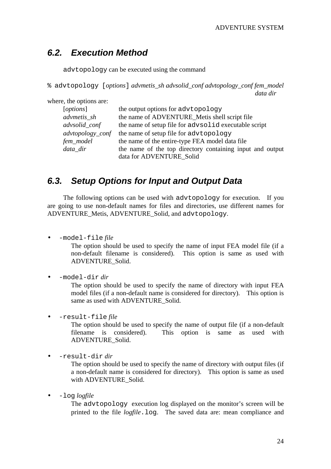### <span id="page-23-0"></span>*6.2. Execution Method*

advtopology can be executed using the command

% advtopology [*options*] *advmetis\_sh advsolid\_conf advtopology\_conf fem\_model data dir* 

where, the options are:

| <i>[options]</i> | the output options for advtopology                        |  |  |  |
|------------------|-----------------------------------------------------------|--|--|--|
| advmetis_sh      | the name of ADVENTURE_Metis shell script file             |  |  |  |
| advsolid_conf    | the name of setup file for advsolid executable script     |  |  |  |
| advtopology_conf | the name of setup file for advtopology                    |  |  |  |
| fem_model        | the name of the entire-type FEA model data file           |  |  |  |
| data_dir         | the name of the top directory containing input and output |  |  |  |
|                  | data for ADVENTURE Solid                                  |  |  |  |

### *6.3. Setup Options for Input and Output Data*

The following options can be used with advtopology for execution. If you are going to use non-default names for files and directories, use different names for ADVENTURE\_Metis, ADVENTURE\_Solid, and advtopology.

• -model-file *file*

The option should be used to specify the name of input FEA model file (if a non-default filename is considered). This option is same as used with ADVENTURE\_Solid.

• -model-dir *dir*

> The option should be used to specify the name of directory with input FEA model files (if a non-default name is considered for directory). This option is same as used with ADVENTURE\_Solid.

• -result-file *file*

> The option should be used to specify the name of output file (if a non-default filename is considered). This option is same as used with ADVENTURE\_Solid.

• -result-dir *dir*

> The option should be used to specify the name of directory with output files (if a non-default name is considered for directory). This option is same as used with ADVENTURE Solid.

• -log *logfile*

> The advtopology execution log displayed on the monitor's screen will be printed to the file *logfile*.log. The saved data are: mean compliance and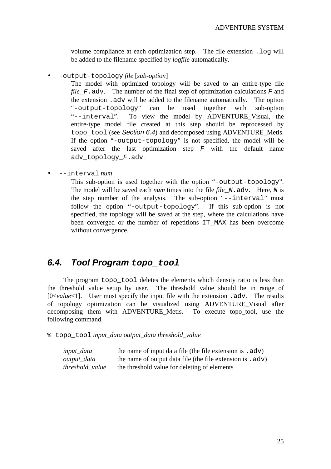<span id="page-24-0"></span>volume compliance at each optimization step. The file extension .log will be added to the filename specified by *logfile* automatically.

• -output-topology *file* [*sub-option*]

The model with optimized topology will be saved to an entire-type file *file* F.adv. The number of the final step of optimization calculations F and the extension .adv will be added to the filename automatically. The option "-output-topology" can be used together with sub-option "--interval". To view the model by ADVENTURE\_Visual, the entire-type model file created at this step should be reprocessed by topo tool (see **Section 6.4)** and decomposed using ADVENTURE Metis. If the option "-output-topology" is not specified, the model will be saved after the last optimization step  $F$  with the default name adv topology  $F$ .adv.

• --interval *num*

> This sub-option is used together with the option "-output-topology". The model will be saved each *num* times into the file *file*  $N$ . adv. Here, N is the step number of the analysis. The sub-option "--interval" must follow the option "-output-topology". If this sub-option is not specified, the topology will be saved at the step, where the calculations have been converged or the number of repetitions IT\_MAX has been overcome without convergence.

### *6.4. Tool Program* **topo\_tool**

The program topo\_tool deletes the elements which density ratio is less than the threshold value setup by user. The threshold value should be in range of [0<*value*<1]. User must specify the input file with the extension .adv. The results of topology optimization can be visualized using ADVENTURE\_Visual after decomposing them with ADVENTURE\_Metis. To execute topo\_tool, use the following command.

% topo\_tool *input\_data output\_data threshold\_value*

| input_data      | the name of input data file (the file extension is . adv)  |
|-----------------|------------------------------------------------------------|
| output_data     | the name of output data file (the file extension is . adv) |
| threshold value | the threshold value for deleting of elements               |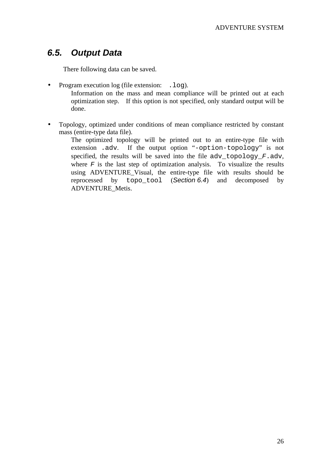# <span id="page-25-0"></span>*6.5. Output Data*

There following data can be saved.

• Program execution log (file extension: . log).

Information on the mass and mean compliance will be printed out at each optimization step. If this option is not specified, only standard output will be done.

• Topology, optimized under conditions of mean compliance restricted by constant mass (entire-type data file).

The optimized topology will be printed out to an entire-type file with extension .adv. If the output option "-option-topology" is not specified, the results will be saved into the file adv topology  $F$ .adv, where  $F$  is the last step of optimization analysis. To visualize the results using ADVENTURE\_Visual, the entire-type file with results should be reprocessed by topo\_tool (*Section 6.4*) and decomposed by ADVENTURE\_Metis.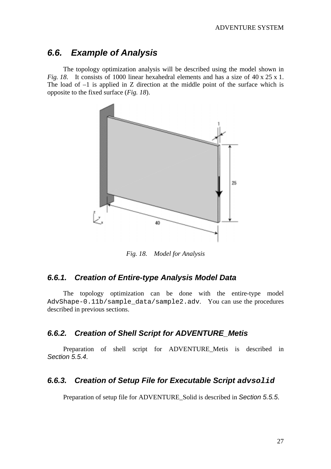### <span id="page-26-0"></span>*6.6. Example of Analysis*

The topology optimization analysis will be described using the model shown in *Fig. 18*. It consists of 1000 linear hexahedral elements and has a size of 40 x 25 x 1. The load of  $-1$  is applied in Z direction at the middle point of the surface which is opposite to the fixed surface (*Fig. 18*).



*Fig. 18. Model for Analysis* 

#### *6.6.1. Creation of Entire-type Analysis Model Data*

The topology optimization can be done with the entire-type model AdvShape-0.11b/sample\_data/sample2.adv. You can use the procedures described in previous sections.

#### *6.6.2. Creation of Shell Script for ADVENTURE\_Metis*

Preparation of shell script for ADVENTURE\_Metis is described in *Section 5.5.4*.

#### *6.6.3. Creation of Setup File for Executable Script* **advsolid**

Preparation of setup file for ADVENTURE\_Solid is described in *Section 5.5.5*.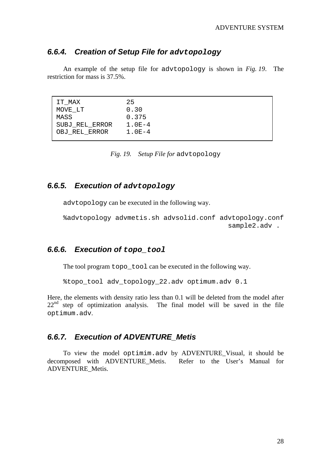#### <span id="page-27-0"></span>*6.6.4. Creation of Setup File for* **advtopology**

An example of the setup file for advtopology is shown in *Fig. 19*. The restriction for mass is 37.5%.

| IT MAX         | 25         |
|----------------|------------|
| MOVE LT        | 0.30       |
| MASS           | 0.375      |
| SUBJ_REL_ERROR | $1.0E-4$   |
| OBJ REL ERROR  | $1.0F - 4$ |
|                |            |

*Fig. 19. Setup File for* advtopology

#### *6.6.5. Execution of* **advtopology**

advtopology can be executed in the following way.

%advtopology advmetis.sh advsolid.conf advtopology.conf sample2.adv .

### *6.6.6. Execution of* **topo\_tool**

The tool program topo\_tool can be executed in the following way.

%topo\_tool adv\_topology\_22.adv optimum.adv 0.1

Here, the elements with density ratio less than 0.1 will be deleted from the model after  $22<sup>nd</sup>$  step of optimization analysis. The final model will be saved in the file optimum.adv.

#### *6.6.7. Execution of ADVENTURE\_Metis*

To view the model optimim.adv by ADVENTURE\_Visual, it should be decomposed with ADVENTURE\_Metis. Refer to the User's Manual for ADVENTURE\_Metis.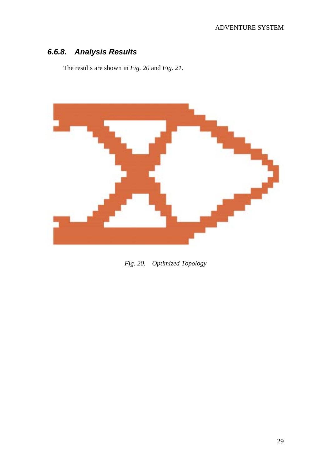# <span id="page-28-0"></span>*6.6.8. Analysis Results*

The results are shown in *Fig. 20* and *Fig. 21*.



*Fig. 20. Optimized Topology*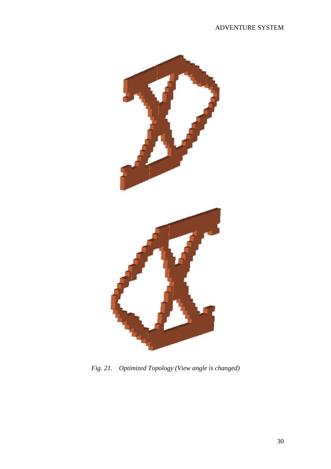

*Fig. 21. Optimized Topology (View angle is changed)*